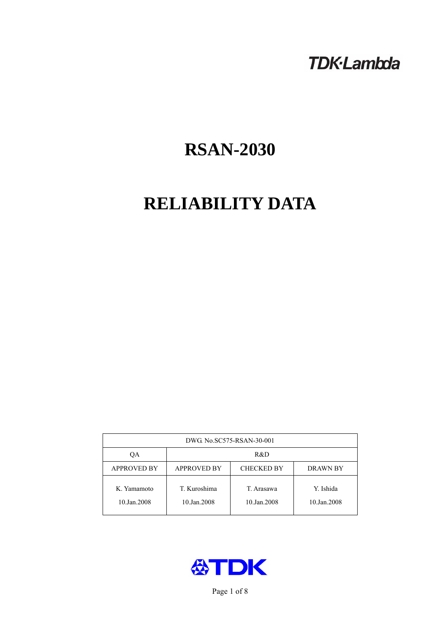# **TDK-Lambda**

# **RSAN-2030**

# **RELIABILITY DATA**

| DWG. No.SC575-RSAN-30-001  |                                                            |                           |                          |  |  |
|----------------------------|------------------------------------------------------------|---------------------------|--------------------------|--|--|
| ОA                         | R&D                                                        |                           |                          |  |  |
| <b>APPROVED BY</b>         | <b>APPROVED BY</b><br><b>CHECKED BY</b><br><b>DRAWN BY</b> |                           |                          |  |  |
| K. Yamamoto<br>10.Jan.2008 | T. Kuroshima<br>10.Jan.2008                                | T. Arasawa<br>10.Jan.2008 | Y. Ishida<br>10.Jan.2008 |  |  |



Page 1 of 8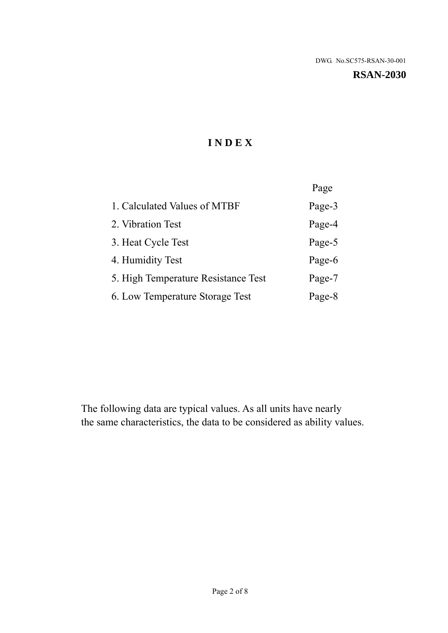**RSAN-2030** 

# **I N D E X**

|                                     | Page   |
|-------------------------------------|--------|
| 1. Calculated Values of MTBF        | Page-3 |
| 2. Vibration Test                   | Page-4 |
| 3. Heat Cycle Test                  | Page-5 |
| 4. Humidity Test                    | Page-6 |
| 5. High Temperature Resistance Test | Page-7 |
| 6. Low Temperature Storage Test     | Page-8 |

The following data are typical values. As all units have nearly the same characteristics, the data to be considered as ability values.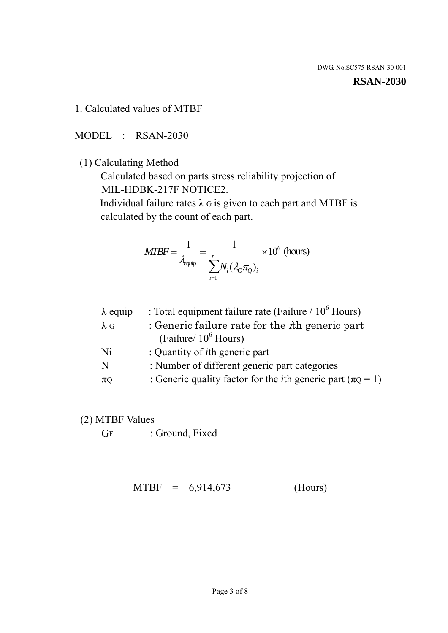#### **RSAN-2030**

1. Calculated values of MTBF

MODEL : RSAN-2030

(1) Calculating Method

 Calculated based on parts stress reliability projection of MIL-HDBK-217F NOTICE2.

Individual failure rates  $\lambda$  G is given to each part and MTBF is calculated by the count of each part.

$$
MTBF = \frac{1}{\lambda_{\text{equip}}} = \frac{1}{\sum_{i=1}^{n} N_i (\lambda_G \pi_Q)_i} \times 10^6 \text{ (hours)}
$$

| $\lambda$ equip | : Total equipment failure rate (Failure / $10^6$ Hours)                   |
|-----------------|---------------------------------------------------------------------------|
| $\lambda$ G     | : Generic failure rate for the $\hbar$ generic part                       |
|                 | (Failure/ $10^6$ Hours)                                                   |
| Ni              | : Quantity of <i>i</i> th generic part                                    |
| N               | : Number of different generic part categories                             |
| $\pi Q$         | : Generic quality factor for the <i>i</i> th generic part ( $\pi Q = 1$ ) |
|                 |                                                                           |

- (2) MTBF Values
	- GF : Ground, Fixed

 $MTBF = 6,914,673$  (Hours)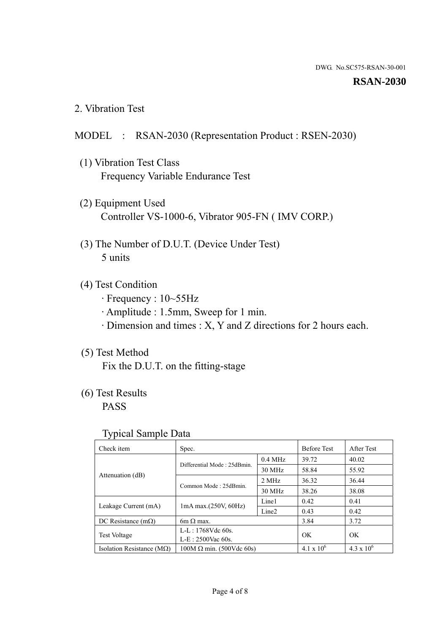#### **RSAN-2030**

2. Vibration Test

## MODEL : RSAN-2030 (Representation Product : RSEN-2030)

- (1) Vibration Test Class Frequency Variable Endurance Test
- (2) Equipment Used Controller VS-1000-6, Vibrator 905-FN ( IMV CORP.)
- (3) The Number of D.U.T. (Device Under Test) 5 units
- (4) Test Condition
	- · Frequency : 10~55Hz
	- · Amplitude : 1.5mm, Sweep for 1 min.
	- · Dimension and times : X, Y and Z directions for 2 hours each.

## (5) Test Method

Fix the D.U.T. on the fitting-stage

# (6) Test Results

PASS

#### Typical Sample Data

| . .                           |                                                         |           |                     |                     |
|-------------------------------|---------------------------------------------------------|-----------|---------------------|---------------------|
| Check item                    | Spec.                                                   |           | <b>Before Test</b>  | After Test          |
|                               | Differential Mode: 25dBmin.                             | $0.4$ MHz | 39.72               | 40.02               |
|                               |                                                         | 30 MHz    | 58.84               | 55.92               |
| Attenuation (dB)              | Common Mode: 25dBmin.                                   | 2 MHz     | 36.32               | 36.44               |
|                               |                                                         | 30 MHz    | 38.26               | 38.08               |
| Leakage Current (mA)          | Line1<br>$1mA$ max. $(250V, 60Hz)$<br>Line <sub>2</sub> |           | 0.42                | 0.41                |
|                               |                                                         |           | 0.43                | 0.42                |
| DC Resistance $(m\Omega)$     | 6m $\Omega$ max.                                        |           | 3.84                | 3.72                |
| <b>Test Voltage</b>           | $L-L: 1768Vdc$ 60s.                                     |           | OK                  | OK.                 |
|                               | $L-E$ : 2500Vac 60s.                                    |           |                     |                     |
| Isolation Resistance ( $MQ$ ) | $100M \Omega$ min. (500Vdc 60s)                         |           | $4.1 \times 10^{6}$ | $4.3 \times 10^{6}$ |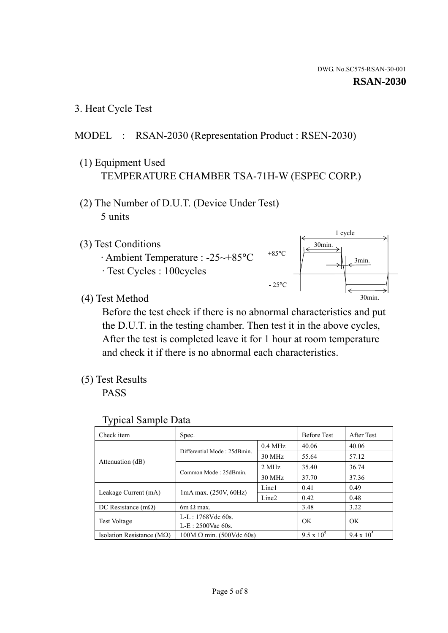3. Heat Cycle Test

### MODEL : RSAN-2030 (Representation Product : RSEN-2030)

- (1) Equipment Used TEMPERATURE CHAMBER TSA-71H-W (ESPEC CORP.)
- (2) The Number of D.U.T. (Device Under Test) 5 units
- (3) Test Conditions
	- · Ambient Temperature : -25~+85°C · Test Cycles : 100cycles



(4) Test Method

 Before the test check if there is no abnormal characteristics and put the D.U.T. in the testing chamber. Then test it in the above cycles, After the test is completed leave it for 1 hour at room temperature and check it if there is no abnormal each characteristics.

(5) Test Results

PASS

| <b>Typical Sample Data</b> |  |  |
|----------------------------|--|--|
|----------------------------|--|--|

| Check item                                  | Spec.                                                                       |           | <b>Before Test</b> | After Test        |
|---------------------------------------------|-----------------------------------------------------------------------------|-----------|--------------------|-------------------|
|                                             |                                                                             | $0.4$ MHz | 40.06              | 40.06             |
|                                             | Differential Mode: 25dBmin.                                                 | 30 MHz    | 55.64              | 57.12             |
| Attenuation (dB)                            | Common Mode: 25dBmin.                                                       | 2 MHz     | 35.40              | 36.74             |
|                                             |                                                                             | 30 MHz    | 37.70              | 37.36             |
|                                             | Line1<br>$1mA$ max. $(250V, 60Hz)$<br>Line <sub>2</sub><br>$6m \Omega$ max. |           | 0.41               | 0.49              |
| Leakage Current (mA)                        |                                                                             |           | 0.42               | 0.48              |
| DC Resistance $(m\Omega)$                   |                                                                             |           | 3.48               | 3.22              |
|                                             | L-L: $1768V$ de $60s$ .                                                     |           | OK                 | OK                |
| <b>Test Voltage</b><br>$L-E: 2500$ Vac 60s. |                                                                             |           |                    |                   |
| Isolation Resistance ( $MQ$ )               | $100M \Omega$ min. (500Vdc 60s)                                             |           | $9.5 \times 10^5$  | $9.4 \times 10^5$ |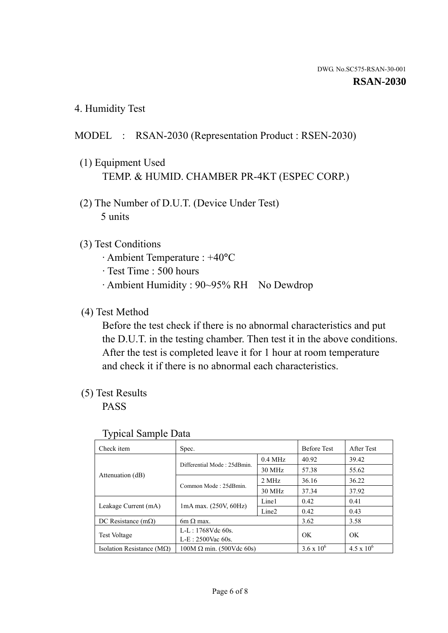4. Humidity Test

## MODEL : RSAN-2030 (Representation Product : RSEN-2030)

- (1) Equipment Used TEMP. & HUMID. CHAMBER PR-4KT (ESPEC CORP.)
- (2) The Number of D.U.T. (Device Under Test) 5 units

### (3) Test Conditions

- · Ambient Temperature : +40°C
- · Test Time : 500 hours
- · Ambient Humidity : 90~95% RH No Dewdrop

## (4) Test Method

 Before the test check if there is no abnormal characteristics and put the D.U.T. in the testing chamber. Then test it in the above conditions. After the test is completed leave it for 1 hour at room temperature and check it if there is no abnormal each characteristics.

### (5) Test Results

PASS

| ╯▴                                 |                                                                                 |           |                     |                     |
|------------------------------------|---------------------------------------------------------------------------------|-----------|---------------------|---------------------|
| Check item                         | Spec.                                                                           |           | <b>Before Test</b>  | After Test          |
|                                    | Differential Mode: 25dBmin.                                                     | $0.4$ MHz | 40.92               | 39.42               |
|                                    |                                                                                 | 30 MHz    | 57.38               | 55.62               |
| Attenuation (dB)                   | Common Mode: 25dBmin.                                                           | 2 MHz     | 36.16               | 36.22               |
|                                    |                                                                                 | 30 MHz    | 37.34               | 37.92               |
|                                    | Line1<br>$1mA$ max. $(250V, 60Hz)$<br>Leakage Current (mA)<br>Line <sub>2</sub> |           | 0.42                | 0.41                |
|                                    |                                                                                 |           | 0.42                | 0.43                |
| DC Resistance $(m\Omega)$          | $6m \Omega$ max.                                                                |           | 3.62                | 3.58                |
| <b>Test Voltage</b>                | $L-L: 1768Vdc$ 60s.                                                             |           | OK                  | OK                  |
|                                    | $L-E: 2500$ Vac 60s.                                                            |           |                     |                     |
| Isolation Resistance ( $M\Omega$ ) | $100M \Omega$ min. (500Vdc 60s)                                                 |           | $3.6 \times 10^{6}$ | $4.5 \times 10^{6}$ |

#### Typical Sample Data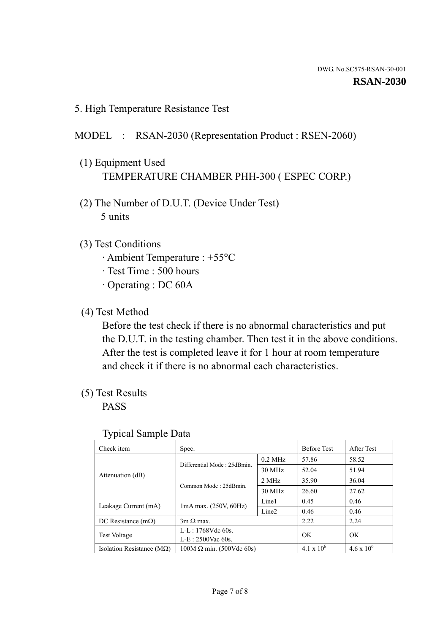5. High Temperature Resistance Test

#### MODEL : RSAN-2030 (Representation Product : RSEN-2060)

- (1) Equipment Used TEMPERATURE CHAMBER PHH-300 ( ESPEC CORP.)
- (2) The Number of D.U.T. (Device Under Test) 5 units
- (3) Test Conditions
	- · Ambient Temperature : +55°C
	- · Test Time : 500 hours
	- · Operating : DC 60A
- (4) Test Method

 Before the test check if there is no abnormal characteristics and put the D.U.T. in the testing chamber. Then test it in the above conditions. After the test is completed leave it for 1 hour at room temperature and check it if there is no abnormal each characteristics.

(5) Test Results

PASS

| ╯┸                                 |                                                         |           |                     |                     |
|------------------------------------|---------------------------------------------------------|-----------|---------------------|---------------------|
| Check item                         | Spec.                                                   |           | <b>Before Test</b>  | After Test          |
|                                    | Differential Mode: 25dBmin.                             | $0.2$ MHz | 57.86               | 58.52               |
|                                    |                                                         | 30 MHz    | 52.04               | 51.94               |
| Attenuation (dB)                   | Common Mode: 25dBmin.                                   | 2 MHz     | 35.90               | 36.04               |
|                                    |                                                         | 30 MHz    | 26.60               | 27.62               |
| Leakage Current (mA)               | Line1<br>$1mA$ max. $(250V, 60Hz)$<br>Line <sub>2</sub> |           | 0.45                | 0.46                |
|                                    |                                                         |           | 0.46                | 0.46                |
| DC Resistance $(m\Omega)$          | $3m \Omega$ max.                                        |           | 2.22                | 2.24                |
| <b>Test Voltage</b>                | $L-L: 1768Vdc$ 60s.                                     |           | OK                  | OK                  |
|                                    | $L-E: 2500$ Vac 60s.                                    |           |                     |                     |
| Isolation Resistance ( $M\Omega$ ) | $100M \Omega$ min. (500Vdc 60s)                         |           | $4.1 \times 10^{6}$ | $4.6 \times 10^{6}$ |

#### Typical Sample Data